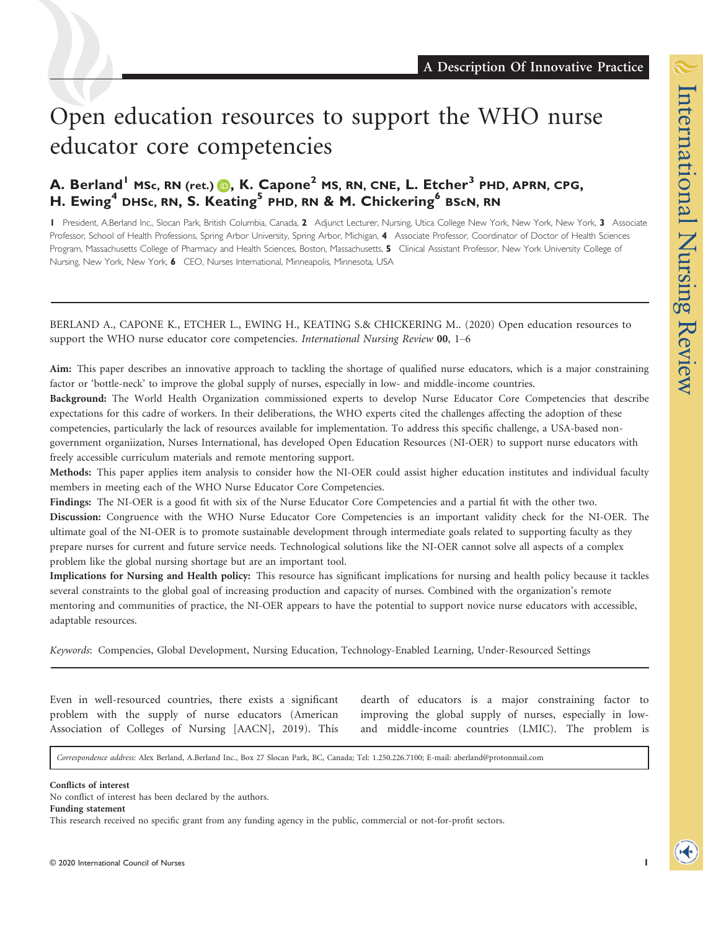# Open education resources to support the WHO nurse educator core competencies

# A. Berland<sup>1</sup> MSc, RN (ret.) **D**, K. Capone<sup>2</sup> MS, RN, CNE, L. Etcher<sup>3</sup> PHD, APRN, CPG, H. Ewing<sup>4</sup> DHSc, RN, S. Keating<sup>5</sup> PHD, RN & M. Chickering<sup>6</sup> BScN, RN

1 President, A.Berland Inc., Slocan Park, British Columbia, Canada, 2 Adjunct Lecturer, Nursing, Utica College New York, New York, New York, 3 Associate Professor, School of Health Professions, Spring Arbor University, Spring Arbor, Michigan, 4 Associate Professor, Coordinator of Doctor of Health Sciences Program, Massachusetts College of Pharmacy and Health Sciences, Boston, Massachusetts, 5 Clinical Assistant Professor, New York University College of Nursing, New York, New York, 6 CEO, Nurses International, Minneapolis, Minnesota, USA

BERLAND A., CAPONE K., ETCHER L., EWING H., KEATING S.& CHICKERING M.. (2020) Open education resources to support the WHO nurse educator core competencies. International Nursing Review 00, 1–6

Aim: This paper describes an innovative approach to tackling the shortage of qualified nurse educators, which is a major constraining factor or 'bottle-neck' to improve the global supply of nurses, especially in low- and middle-income countries. Background: The World Health Organization commissioned experts to develop Nurse Educator Core Competencies that describe expectations for this cadre of workers. In their deliberations, the WHO experts cited the challenges affecting the adoption of these competencies, particularly the lack of resources available for implementation. To address this specific challenge, a USA-based nongovernment organiization, Nurses International, has developed Open Education Resources (NI-OER) to support nurse educators with freely accessible curriculum materials and remote mentoring support.

Methods: This paper applies item analysis to consider how the NI-OER could assist higher education institutes and individual faculty members in meeting each of the WHO Nurse Educator Core Competencies.

Findings: The NI-OER is a good fit with six of the Nurse Educator Core Competencies and a partial fit with the other two. Discussion: Congruence with the WHO Nurse Educator Core Competencies is an important validity check for the NI-OER. The ultimate goal of the NI-OER is to promote sustainable development through intermediate goals related to supporting faculty as they prepare nurses for current and future service needs. Technological solutions like the NI-OER cannot solve all aspects of a complex problem like the global nursing shortage but are an important tool.

Implications for Nursing and Health policy: This resource has significant implications for nursing and health policy because it tackles several constraints to the global goal of increasing production and capacity of nurses. Combined with the organization's remote mentoring and communities of practice, the NI-OER appears to have the potential to support novice nurse educators with accessible, adaptable resources.

Keywords: Compencies, Global Development, Nursing Education, Technology-Enabled Learning, Under-Resourced Settings

Even in well-resourced countries, there exists a significant problem with the supply of nurse educators (American Association of Colleges of Nursing [AACN], 2019). This dearth of educators is a major constraining factor to improving the global supply of nurses, especially in lowand middle-income countries (LMIC). The problem is

Correspondence address: Alex Berland, A.Berland Inc., Box 27 Slocan Park, BC, Canada; Tel: 1.250.226.7100; E-mail: [aberland@protonmail.com](mailto:)

Conflicts of interest

No conflict of interest has been declared by the authors.

Funding statement

This research received no specific grant from any funding agency in the public, commercial or not-for-profit sectors.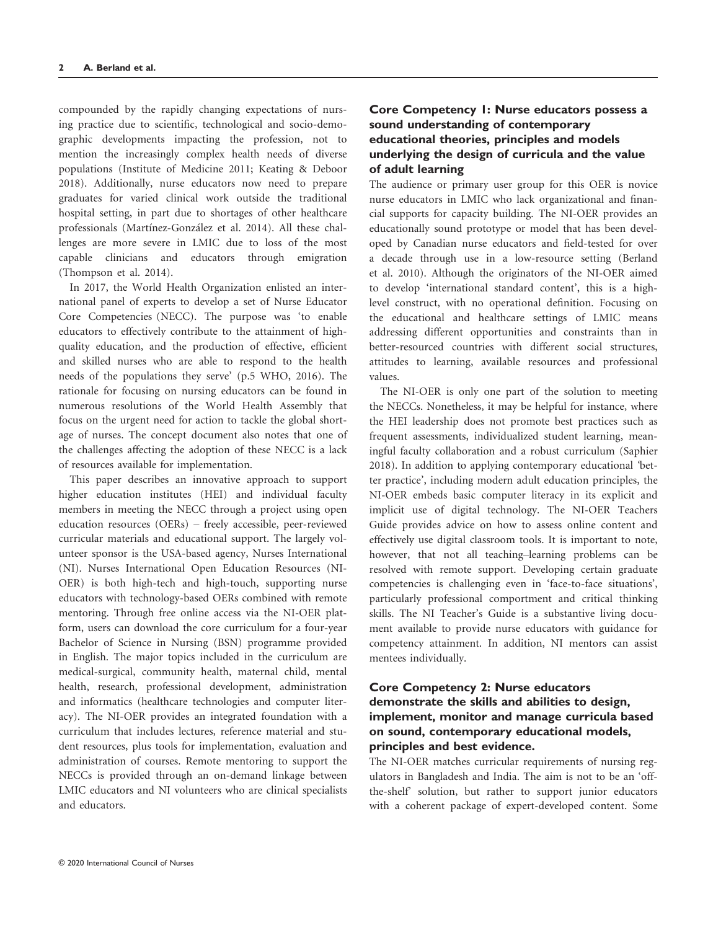compounded by the rapidly changing expectations of nursing practice due to scientific, technological and socio-demographic developments impacting the profession, not to mention the increasingly complex health needs of diverse populations (Institute of Medicine 2011; Keating & Deboor 2018). Additionally, nurse educators now need to prepare graduates for varied clinical work outside the traditional hospital setting, in part due to shortages of other healthcare professionals (Martínez-González et al. 2014). All these challenges are more severe in LMIC due to loss of the most capable clinicians and educators through emigration (Thompson et al. 2014).

In 2017, the World Health Organization enlisted an international panel of experts to develop a set of Nurse Educator Core Competencies (NECC). The purpose was 'to enable educators to effectively contribute to the attainment of highquality education, and the production of effective, efficient and skilled nurses who are able to respond to the health needs of the populations they serve' (p.5 WHO, 2016). The rationale for focusing on nursing educators can be found in numerous resolutions of the World Health Assembly that focus on the urgent need for action to tackle the global shortage of nurses. The concept document also notes that one of the challenges affecting the adoption of these NECC is a lack of resources available for implementation.

This paper describes an innovative approach to support higher education institutes (HEI) and individual faculty members in meeting the NECC through a project using open education resources (OERs) – freely accessible, peer-reviewed curricular materials and educational support. The largely volunteer sponsor is the USA-based agency, Nurses International (NI). Nurses International Open Education Resources (NI-OER) is both high-tech and high-touch, supporting nurse educators with technology-based OERs combined with remote mentoring. Through free online access via the NI-OER platform, users can download the core curriculum for a four-year Bachelor of Science in Nursing (BSN) programme provided in English. The major topics included in the curriculum are medical-surgical, community health, maternal child, mental health, research, professional development, administration and informatics (healthcare technologies and computer literacy). The NI-OER provides an integrated foundation with a curriculum that includes lectures, reference material and student resources, plus tools for implementation, evaluation and administration of courses. Remote mentoring to support the NECCs is provided through an on-demand linkage between LMIC educators and NI volunteers who are clinical specialists and educators.

## Core Competency 1: Nurse educators possess a sound understanding of contemporary educational theories, principles and models underlying the design of curricula and the value of adult learning

The audience or primary user group for this OER is novice nurse educators in LMIC who lack organizational and financial supports for capacity building. The NI-OER provides an educationally sound prototype or model that has been developed by Canadian nurse educators and field-tested for over a decade through use in a low-resource setting (Berland et al. 2010). Although the originators of the NI-OER aimed to develop 'international standard content', this is a highlevel construct, with no operational definition. Focusing on the educational and healthcare settings of LMIC means addressing different opportunities and constraints than in better-resourced countries with different social structures, attitudes to learning, available resources and professional values.

The NI-OER is only one part of the solution to meeting the NECCs. Nonetheless, it may be helpful for instance, where the HEI leadership does not promote best practices such as frequent assessments, individualized student learning, meaningful faculty collaboration and a robust curriculum (Saphier 2018). In addition to applying contemporary educational 'better practice', including modern adult education principles, the NI-OER embeds basic computer literacy in its explicit and implicit use of digital technology. The NI-OER Teachers Guide provides advice on how to assess online content and effectively use digital classroom tools. It is important to note, however, that not all teaching–learning problems can be resolved with remote support. Developing certain graduate competencies is challenging even in 'face-to-face situations', particularly professional comportment and critical thinking skills. The NI Teacher's Guide is a substantive living document available to provide nurse educators with guidance for competency attainment. In addition, NI mentors can assist mentees individually.

# Core Competency 2: Nurse educators demonstrate the skills and abilities to design, implement, monitor and manage curricula based on sound, contemporary educational models, principles and best evidence.

The NI-OER matches curricular requirements of nursing regulators in Bangladesh and India. The aim is not to be an 'offthe-shelf' solution, but rather to support junior educators with a coherent package of expert-developed content. Some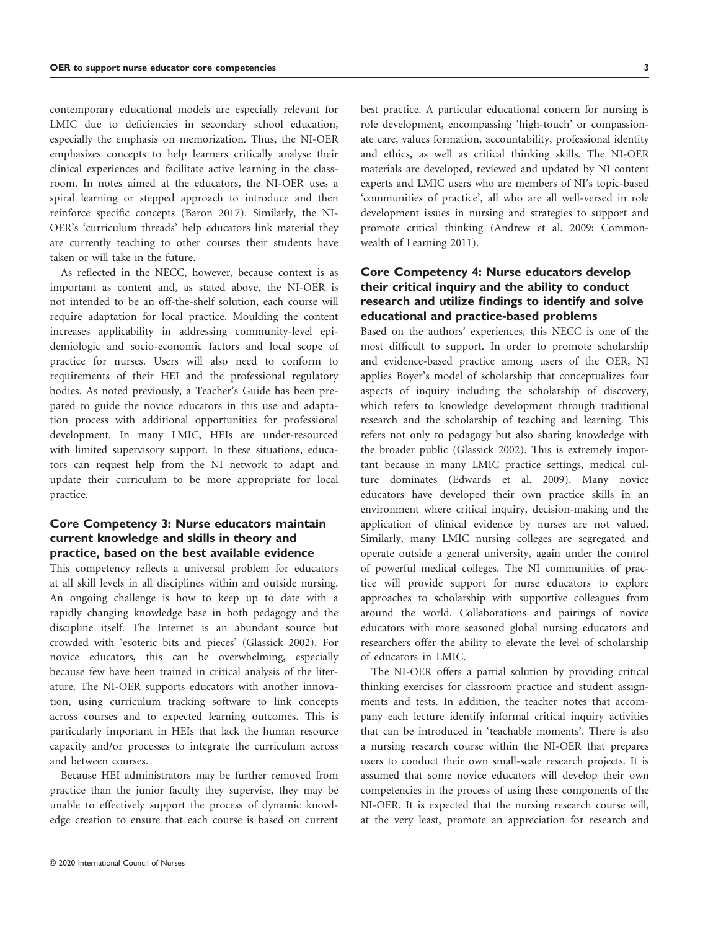contemporary educational models are especially relevant for LMIC due to deficiencies in secondary school education, especially the emphasis on memorization. Thus, the NI-OER emphasizes concepts to help learners critically analyse their clinical experiences and facilitate active learning in the classroom. In notes aimed at the educators, the NI-OER uses a spiral learning or stepped approach to introduce and then reinforce specific concepts (Baron 2017). Similarly, the NI-OER's 'curriculum threads' help educators link material they are currently teaching to other courses their students have taken or will take in the future.

As reflected in the NECC, however, because context is as important as content and, as stated above, the NI-OER is not intended to be an off-the-shelf solution, each course will require adaptation for local practice. Moulding the content increases applicability in addressing community-level epidemiologic and socio-economic factors and local scope of practice for nurses. Users will also need to conform to requirements of their HEI and the professional regulatory bodies. As noted previously, a Teacher's Guide has been prepared to guide the novice educators in this use and adaptation process with additional opportunities for professional development. In many LMIC, HEIs are under-resourced with limited supervisory support. In these situations, educators can request help from the NI network to adapt and update their curriculum to be more appropriate for local practice.

#### Core Competency 3: Nurse educators maintain current knowledge and skills in theory and practice, based on the best available evidence

This competency reflects a universal problem for educators at all skill levels in all disciplines within and outside nursing. An ongoing challenge is how to keep up to date with a rapidly changing knowledge base in both pedagogy and the discipline itself. The Internet is an abundant source but crowded with 'esoteric bits and pieces' (Glassick 2002). For novice educators, this can be overwhelming, especially because few have been trained in critical analysis of the literature. The NI-OER supports educators with another innovation, using curriculum tracking software to link concepts across courses and to expected learning outcomes. This is particularly important in HEIs that lack the human resource capacity and/or processes to integrate the curriculum across and between courses.

Because HEI administrators may be further removed from practice than the junior faculty they supervise, they may be unable to effectively support the process of dynamic knowledge creation to ensure that each course is based on current best practice. A particular educational concern for nursing is role development, encompassing 'high-touch' or compassionate care, values formation, accountability, professional identity and ethics, as well as critical thinking skills. The NI-OER materials are developed, reviewed and updated by NI content experts and LMIC users who are members of NI's topic-based 'communities of practice', all who are all well-versed in role development issues in nursing and strategies to support and promote critical thinking (Andrew et al. 2009; Commonwealth of Learning 2011).

#### Core Competency 4: Nurse educators develop their critical inquiry and the ability to conduct research and utilize findings to identify and solve educational and practice-based problems

Based on the authors' experiences, this NECC is one of the most difficult to support. In order to promote scholarship and evidence-based practice among users of the OER, NI applies Boyer's model of scholarship that conceptualizes four aspects of inquiry including the scholarship of discovery, which refers to knowledge development through traditional research and the scholarship of teaching and learning. This refers not only to pedagogy but also sharing knowledge with the broader public (Glassick 2002). This is extremely important because in many LMIC practice settings, medical culture dominates (Edwards et al. 2009). Many novice educators have developed their own practice skills in an environment where critical inquiry, decision-making and the application of clinical evidence by nurses are not valued. Similarly, many LMIC nursing colleges are segregated and operate outside a general university, again under the control of powerful medical colleges. The NI communities of practice will provide support for nurse educators to explore approaches to scholarship with supportive colleagues from around the world. Collaborations and pairings of novice educators with more seasoned global nursing educators and researchers offer the ability to elevate the level of scholarship of educators in LMIC.

The NI-OER offers a partial solution by providing critical thinking exercises for classroom practice and student assignments and tests. In addition, the teacher notes that accompany each lecture identify informal critical inquiry activities that can be introduced in 'teachable moments'. There is also a nursing research course within the NI-OER that prepares users to conduct their own small-scale research projects. It is assumed that some novice educators will develop their own competencies in the process of using these components of the NI-OER. It is expected that the nursing research course will, at the very least, promote an appreciation for research and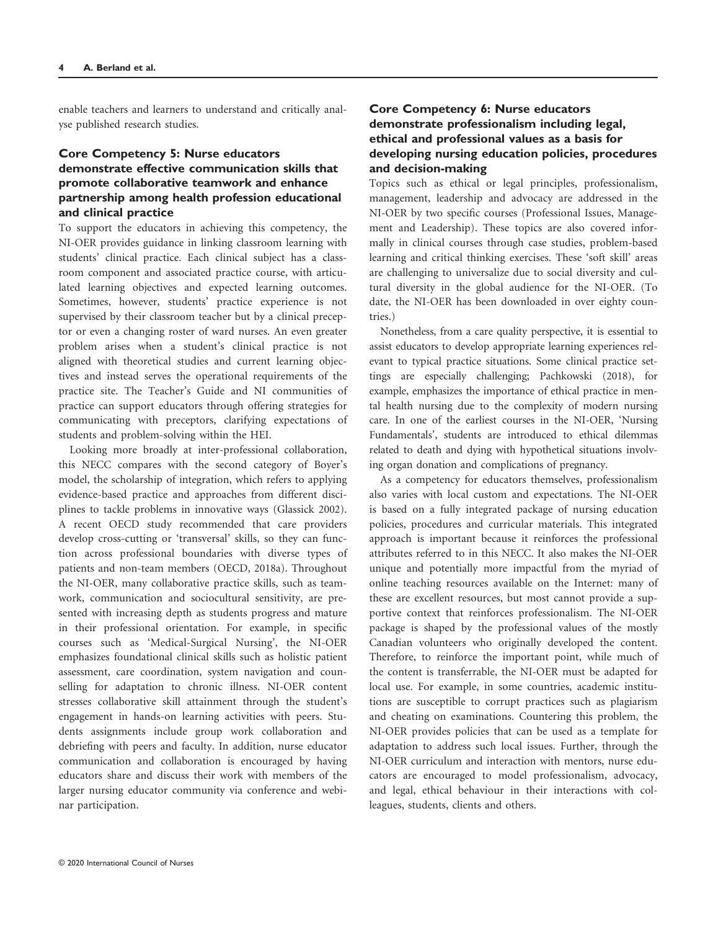enable teachers and learners to understand and critically analyse published research studies.

### Core Competency 5: Nurse educators demonstrate effective communication skills that promote collaborative teamwork and enhance partnership among health profession educational and clinical practice

To support the educators in achieving this competency, the NI-OER provides guidance in linking classroom learning with students' clinical practice. Each clinical subject has a classroom component and associated practice course, with articulated learning objectives and expected learning outcomes. Sometimes, however, students' practice experience is not supervised by their classroom teacher but by a clinical preceptor or even a changing roster of ward nurses. An even greater problem arises when a student's clinical practice is not aligned with theoretical studies and current learning objectives and instead serves the operational requirements of the practice site. The Teacher's Guide and NI communities of practice can support educators through offering strategies for communicating with preceptors, clarifying expectations of students and problem-solving within the HEI.

Looking more broadly at inter-professional collaboration, this NECC compares with the second category of Boyer's model, the scholarship of integration, which refers to applying evidence-based practice and approaches from different disciplines to tackle problems in innovative ways (Glassick 2002). A recent OECD study recommended that care providers develop cross-cutting or 'transversal' skills, so they can function across professional boundaries with diverse types of patients and non-team members (OECD, 2018a). Throughout the NI-OER, many collaborative practice skills, such as teamwork, communication and sociocultural sensitivity, are presented with increasing depth as students progress and mature in their professional orientation. For example, in specific courses such as 'Medical-Surgical Nursing', the NI-OER emphasizes foundational clinical skills such as holistic patient assessment, care coordination, system navigation and counselling for adaptation to chronic illness. NI-OER content stresses collaborative skill attainment through the student's engagement in hands-on learning activities with peers. Students assignments include group work collaboration and debriefing with peers and faculty. In addition, nurse educator communication and collaboration is encouraged by having educators share and discuss their work with members of the larger nursing educator community via conference and webinar participation.

# Core Competency 6: Nurse educators demonstrate professionalism including legal, ethical and professional values as a basis for developing nursing education policies, procedures and decision-making

Topics such as ethical or legal principles, professionalism, management, leadership and advocacy are addressed in the NI-OER by two specific courses (Professional Issues, Management and Leadership). These topics are also covered informally in clinical courses through case studies, problem-based learning and critical thinking exercises. These 'soft skill' areas are challenging to universalize due to social diversity and cultural diversity in the global audience for the NI-OER. (To date, the NI-OER has been downloaded in over eighty countries.)

Nonetheless, from a care quality perspective, it is essential to assist educators to develop appropriate learning experiences relevant to typical practice situations. Some clinical practice settings are especially challenging; Pachkowski (2018), for example, emphasizes the importance of ethical practice in mental health nursing due to the complexity of modern nursing care. In one of the earliest courses in the NI-OER, 'Nursing Fundamentals', students are introduced to ethical dilemmas related to death and dying with hypothetical situations involving organ donation and complications of pregnancy.

As a competency for educators themselves, professionalism also varies with local custom and expectations. The NI-OER is based on a fully integrated package of nursing education policies, procedures and curricular materials. This integrated approach is important because it reinforces the professional attributes referred to in this NECC. It also makes the NI-OER unique and potentially more impactful from the myriad of online teaching resources available on the Internet: many of these are excellent resources, but most cannot provide a supportive context that reinforces professionalism. The NI-OER package is shaped by the professional values of the mostly Canadian volunteers who originally developed the content. Therefore, to reinforce the important point, while much of the content is transferrable, the NI-OER must be adapted for local use. For example, in some countries, academic institutions are susceptible to corrupt practices such as plagiarism and cheating on examinations. Countering this problem, the NI-OER provides policies that can be used as a template for adaptation to address such local issues. Further, through the NI-OER curriculum and interaction with mentors, nurse educators are encouraged to model professionalism, advocacy, and legal, ethical behaviour in their interactions with colleagues, students, clients and others.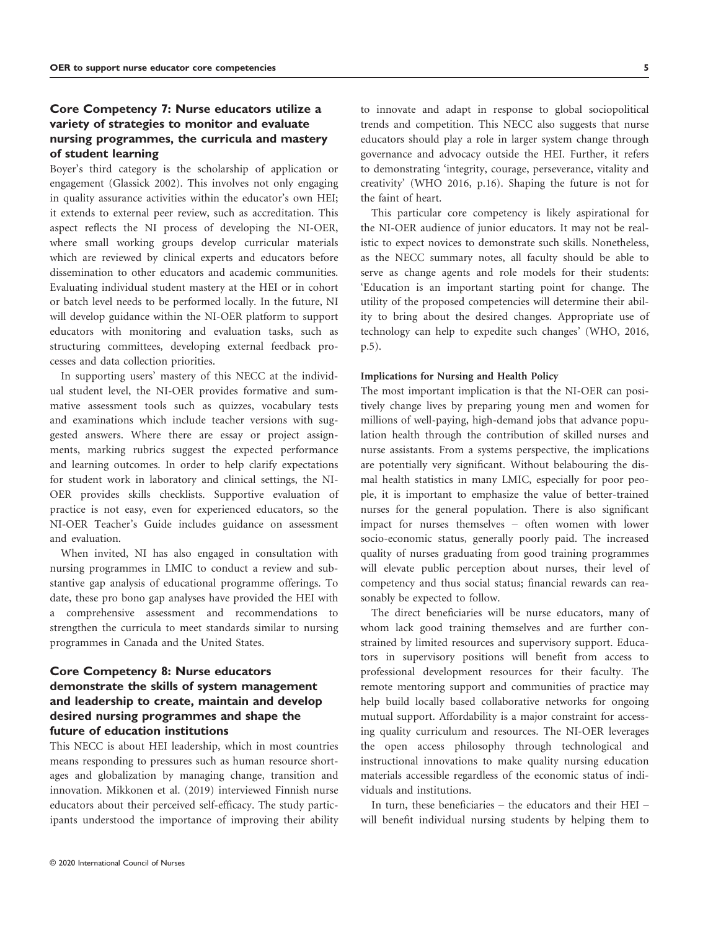# Core Competency 7: Nurse educators utilize a variety of strategies to monitor and evaluate nursing programmes, the curricula and mastery of student learning

Boyer's third category is the scholarship of application or engagement (Glassick 2002). This involves not only engaging in quality assurance activities within the educator's own HEI; it extends to external peer review, such as accreditation. This aspect reflects the NI process of developing the NI-OER, where small working groups develop curricular materials which are reviewed by clinical experts and educators before dissemination to other educators and academic communities. Evaluating individual student mastery at the HEI or in cohort or batch level needs to be performed locally. In the future, NI will develop guidance within the NI-OER platform to support educators with monitoring and evaluation tasks, such as structuring committees, developing external feedback processes and data collection priorities.

In supporting users' mastery of this NECC at the individual student level, the NI-OER provides formative and summative assessment tools such as quizzes, vocabulary tests and examinations which include teacher versions with suggested answers. Where there are essay or project assignments, marking rubrics suggest the expected performance and learning outcomes. In order to help clarify expectations for student work in laboratory and clinical settings, the NI-OER provides skills checklists. Supportive evaluation of practice is not easy, even for experienced educators, so the NI-OER Teacher's Guide includes guidance on assessment and evaluation.

When invited, NI has also engaged in consultation with nursing programmes in LMIC to conduct a review and substantive gap analysis of educational programme offerings. To date, these pro bono gap analyses have provided the HEI with a comprehensive assessment and recommendations to strengthen the curricula to meet standards similar to nursing programmes in Canada and the United States.

# Core Competency 8: Nurse educators demonstrate the skills of system management and leadership to create, maintain and develop desired nursing programmes and shape the future of education institutions

This NECC is about HEI leadership, which in most countries means responding to pressures such as human resource shortages and globalization by managing change, transition and innovation. Mikkonen et al. (2019) interviewed Finnish nurse educators about their perceived self-efficacy. The study participants understood the importance of improving their ability

to innovate and adapt in response to global sociopolitical trends and competition. This NECC also suggests that nurse educators should play a role in larger system change through governance and advocacy outside the HEI. Further, it refers to demonstrating 'integrity, courage, perseverance, vitality and creativity' (WHO 2016, p.16). Shaping the future is not for the faint of heart.

This particular core competency is likely aspirational for the NI-OER audience of junior educators. It may not be realistic to expect novices to demonstrate such skills. Nonetheless, as the NECC summary notes, all faculty should be able to serve as change agents and role models for their students: 'Education is an important starting point for change. The utility of the proposed competencies will determine their ability to bring about the desired changes. Appropriate use of technology can help to expedite such changes' (WHO, 2016, p.5).

#### Implications for Nursing and Health Policy

The most important implication is that the NI-OER can positively change lives by preparing young men and women for millions of well-paying, high-demand jobs that advance population health through the contribution of skilled nurses and nurse assistants. From a systems perspective, the implications are potentially very significant. Without belabouring the dismal health statistics in many LMIC, especially for poor people, it is important to emphasize the value of better-trained nurses for the general population. There is also significant impact for nurses themselves – often women with lower socio-economic status, generally poorly paid. The increased quality of nurses graduating from good training programmes will elevate public perception about nurses, their level of competency and thus social status; financial rewards can reasonably be expected to follow.

The direct beneficiaries will be nurse educators, many of whom lack good training themselves and are further constrained by limited resources and supervisory support. Educators in supervisory positions will benefit from access to professional development resources for their faculty. The remote mentoring support and communities of practice may help build locally based collaborative networks for ongoing mutual support. Affordability is a major constraint for accessing quality curriculum and resources. The NI-OER leverages the open access philosophy through technological and instructional innovations to make quality nursing education materials accessible regardless of the economic status of individuals and institutions.

In turn, these beneficiaries – the educators and their HEI – will benefit individual nursing students by helping them to